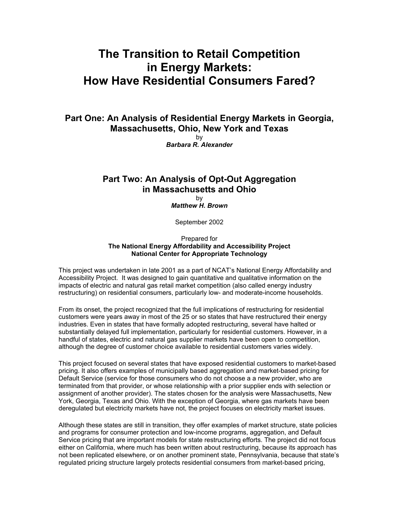## **The Transition to Retail Competition in Energy Markets: How Have Residential Consumers Fared?**

**Part One: An Analysis of Residential Energy Markets in Georgia, Massachusetts, Ohio, New York and Texas** 

by *Barbara R. Alexander* 

## **Part Two: An Analysis of Opt-Out Aggregation in Massachusetts and Ohio**

by *Matthew H. Brown*

September 2002

Prepared for **The National Energy Affordability and Accessibility Project National Center for Appropriate Technology** 

This project was undertaken in late 2001 as a part of NCAT's National Energy Affordability and Accessibility Project. It was designed to gain quantitative and qualitative information on the impacts of electric and natural gas retail market competition (also called energy industry restructuring) on residential consumers, particularly low- and moderate-income households.

From its onset, the project recognized that the full implications of restructuring for residential customers were years away in most of the 25 or so states that have restructured their energy industries. Even in states that have formally adopted restructuring, several have halted or substantially delayed full implementation, particularly for residential customers. However, in a handful of states, electric and natural gas supplier markets have been open to competition, although the degree of customer choice available to residential customers varies widely.

This project focused on several states that have exposed residential customers to market-based pricing. It also offers examples of municipally based aggregation and market-based pricing for Default Service (service for those consumers who do not choose a a new provider, who are terminated from that provider, or whose relationship with a prior supplier ends with selection or assignment of another provider). The states chosen for the analysis were Massachusetts, New York, Georgia, Texas and Ohio. With the exception of Georgia, where gas markets have been deregulated but electricity markets have not, the project focuses on electricity market issues.

Although these states are still in transition, they offer examples of market structure, state policies and programs for consumer protection and low-income programs, aggregation, and Default Service pricing that are important models for state restructuring efforts. The project did not focus either on California, where much has been written about restructuring, because its approach has not been replicated elsewhere, or on another prominent state, Pennsylvania, because that state's regulated pricing structure largely protects residential consumers from market-based pricing,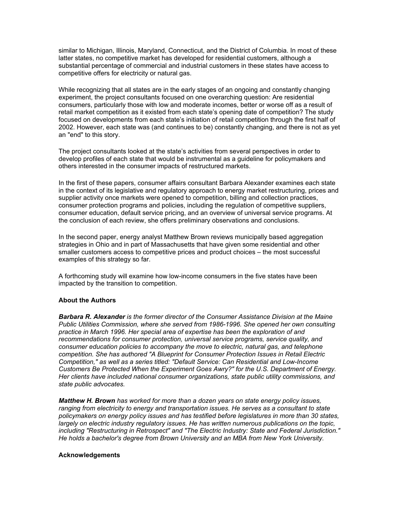similar to Michigan, Illinois, Maryland, Connecticut, and the District of Columbia. In most of these latter states, no competitive market has developed for residential customers, although a substantial percentage of commercial and industrial customers in these states have access to competitive offers for electricity or natural gas.

While recognizing that all states are in the early stages of an ongoing and constantly changing experiment, the project consultants focused on one overarching question: Are residential consumers, particularly those with low and moderate incomes, better or worse off as a result of retail market competition as it existed from each state's opening date of competition? The study focused on developments from each state's initiation of retail competition through the first half of 2002. However, each state was (and continues to be) constantly changing, and there is not as yet an "end" to this story.

The project consultants looked at the state's activities from several perspectives in order to develop profiles of each state that would be instrumental as a guideline for policymakers and others interested in the consumer impacts of restructured markets.

In the first of these papers, consumer affairs consultant Barbara Alexander examines each state in the context of its legislative and regulatory approach to energy market restructuring, prices and supplier activity once markets were opened to competition, billing and collection practices, consumer protection programs and policies, including the regulation of competitive suppliers, consumer education, default service pricing, and an overview of universal service programs. At the conclusion of each review, she offers preliminary observations and conclusions.

In the second paper, energy analyst Matthew Brown reviews municipally based aggregation strategies in Ohio and in part of Massachusetts that have given some residential and other smaller customers access to competitive prices and product choices – the most successful examples of this strategy so far.

A forthcoming study will examine how low-income consumers in the five states have been impacted by the transition to competition.

## **About the Authors**

*Barbara R. Alexander is the former director of the Consumer Assistance Division at the Maine Public Utilities Commission, where she served from 1986-1996. She opened her own consulting practice in March 1996. Her special area of expertise has been the exploration of and recommendations for consumer protection, universal service programs, service quality, and consumer education policies to accompany the move to electric, natural gas, and telephone competition. She has authored "A Blueprint for Consumer Protection Issues in Retail Electric Competition," as well as a series titled: "Default Service: Can Residential and Low-Income Customers Be Protected When the Experiment Goes Awry?" for the U.S. Department of Energy. Her clients have included national consumer organizations, state public utility commissions, and state public advocates.* 

*Matthew H. Brown has worked for more than a dozen years on state energy policy issues, ranging from electricity to energy and transportation issues. He serves as a consultant to state*  policymakers on energy policy issues and has testified before legislatures in more than 30 states, *largely on electric industry regulatory issues. He has written numerous publications on the topic, including "Restructuring in Retrospect" and "The Electric Industry: State and Federal Jurisdiction." He holds a bachelor's degree from Brown University and an MBA from New York University.* 

## **Acknowledgements**